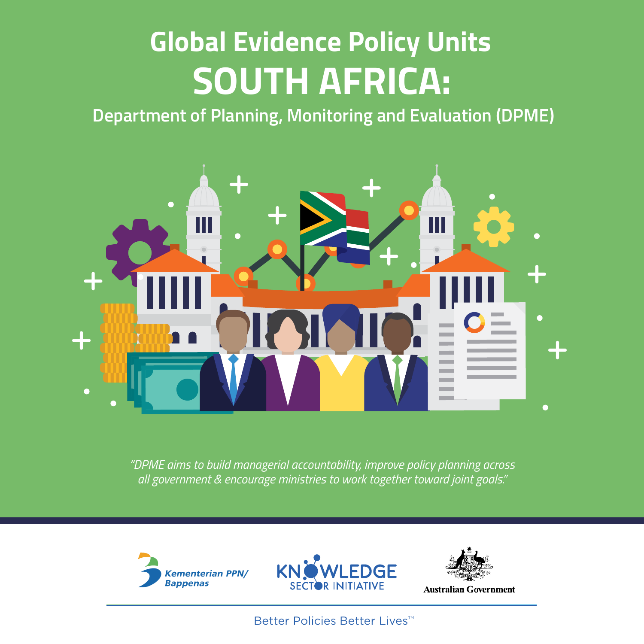# **Global Evidence Policy Units SOUTH AFRICA:**

**Department of Planning, Monitoring and Evaluation (DPME)**



*"DPME aims to build managerial accountability, improve policy planning across all government & encourage ministries to work together toward joint goals."*







**Australian Government** 

Better Policies Better Lives<sup>™</sup>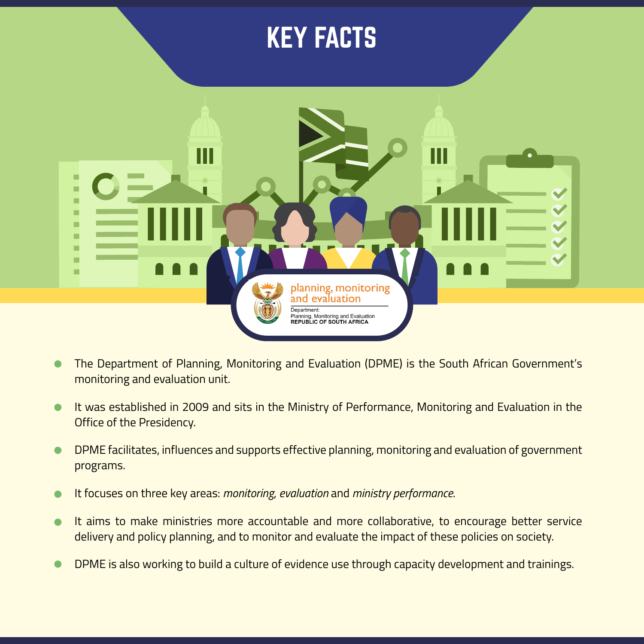### KEY FACTS



- The Department of Planning, Monitoring and Evaluation (DPME) is the South African Government's monitoring and evaluation unit.
- It was established in 2009 and sits in the Ministry of Performance, Monitoring and Evaluation in the  $\bullet$ Office of the Presidency.
- DPME facilitates, influences and supports effective planning, monitoring and evaluation of government  $\bullet$ programs.
- It focuses on three key areas: *monitoring*, *evaluation* and *ministry performance*.
- It aims to make ministries more accountable and more collaborative, to encourage better service  $\bullet$ delivery and policy planning, and to monitor and evaluate the impact of these policies on society.
- DPME is also working to build a culture of evidence use through capacity development and trainings.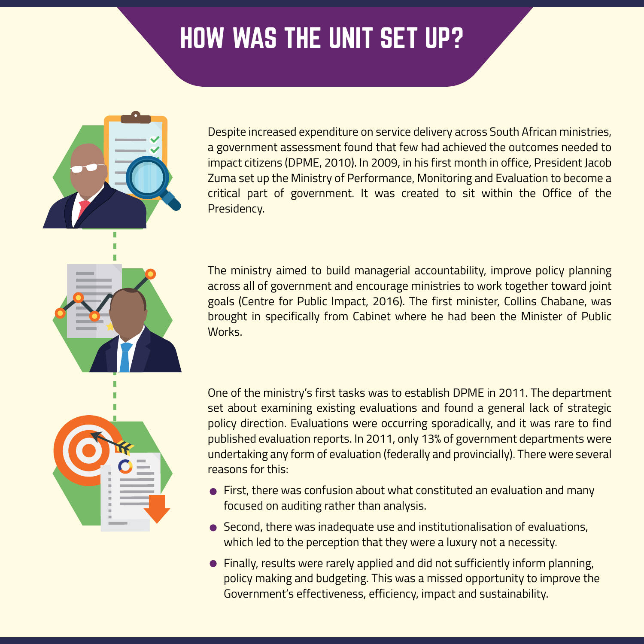# HOW WAS THE UNIT SET UP?



Despite increased expenditure on service delivery across South African ministries, a government assessment found that few had achieved the outcomes needed to impact citizens (DPME, 2010). In 2009, in his first month in office, President Jacob Zuma set up the Ministry of Performance, Monitoring and Evaluation to become a critical part of government. It was created to sit within the Office of the Presidency.

The ministry aimed to build managerial accountability, improve policy planning across all of government and encourage ministries to work together toward joint goals (Centre for Public Impact, 2016). The first minister, Collins Chabane, was brought in specifically from Cabinet where he had been the Minister of Public Works.

One of the ministry's first tasks was to establish DPME in 2011. The department set about examining existing evaluations and found a general lack of strategic policy direction. Evaluations were occurring sporadically, and it was rare to find published evaluation reports. In 2011, only 13% of government departments were undertaking any form of evaluation (federally and provincially). There were several reasons for this:

- First, there was confusion about what constituted an evaluation and many focused on auditing rather than analysis.
- Second, there was inadequate use and institutionalisation of evaluations, which led to the perception that they were a luxury not a necessity.
- Finally, results were rarely applied and did not sufficiently inform planning, policy making and budgeting. This was a missed opportunity to improve the Government's effectiveness, efficiency, impact and sustainability.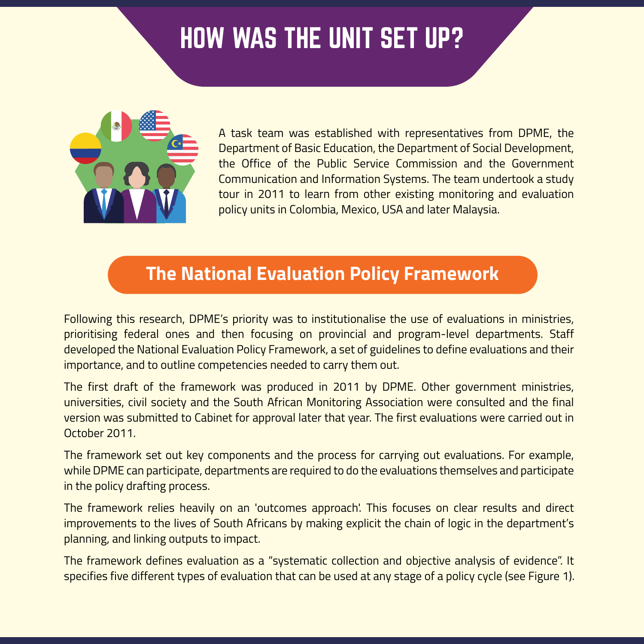# HOW WAS THE UNIT SET UP?



A task team was established with representatives from DPME, the Department of Basic Education, the Department of Social Development, the Office of the Public Service Commission and the Government Communication and Information Systems. The team undertook a study tour in 2011 to learn from other existing monitoring and evaluation policy units in Colombia, Mexico, USA and later Malaysia.

### **The National Evaluation Policy Framework**

Following this research, DPME's priority was to institutionalise the use of evaluations in ministries, prioritising federal ones and then focusing on provincial and program-level departments. Staff developed the National Evaluation Policy Framework, a set of guidelines to define evaluations and their importance, and to outline competencies needed to carry them out.

The first draft of the framework was produced in 2011 by DPME. Other government ministries, universities, civil society and the South African Monitoring Association were consulted and the final version was submitted to Cabinet for approval later that year. The first evaluations were carried out in October 2011.

The framework set out key components and the process for carrying out evaluations. For example, while DPME can participate, departments are required to do the evaluations themselves and participate in the policy drafting process.

The framework relies heavily on an 'outcomes approach'. This focuses on clear results and direct improvements to the lives of South Africans by making explicit the chain of logic in the department's planning, and linking outputs to impact.

The framework defines evaluation as a "systematic collection and objective analysis of evidence". It specifies five different types of evaluation that can be used at any stage of a policy cycle (see Figure 1).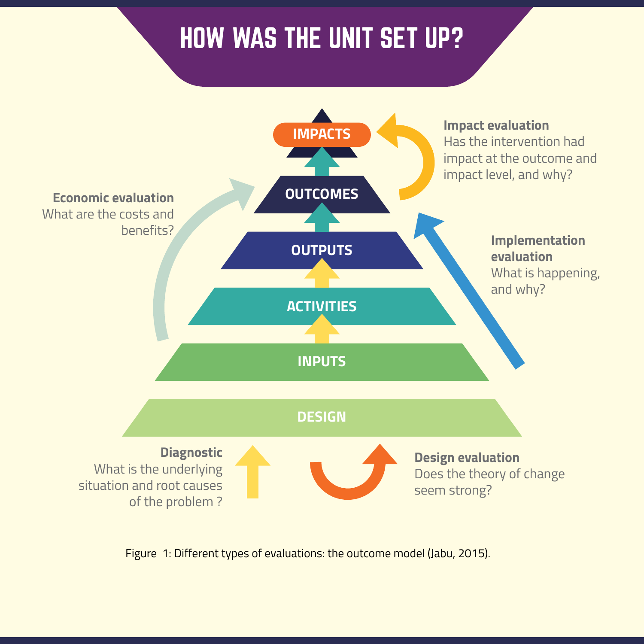# HOW WAS THE UNIT SET UP?



Figure 1: Different types of evaluations: the outcome model (Jabu, 2015).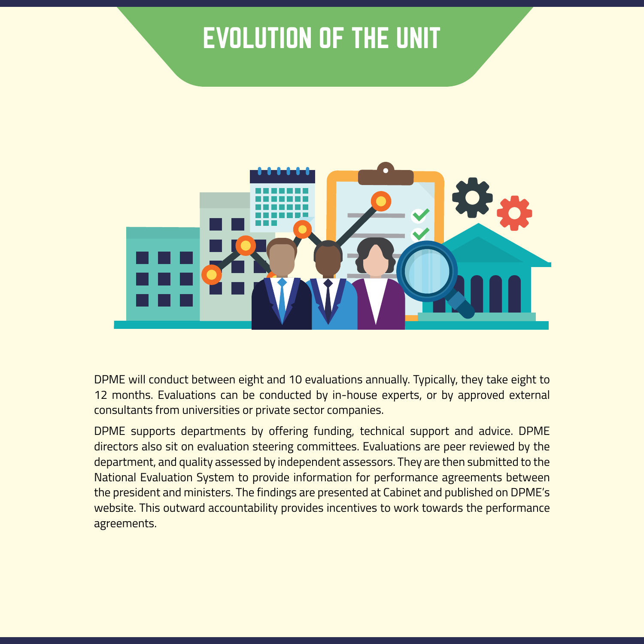

DPME will conduct between eight and 10 evaluations annually. Typically, they take eight to 12 months. Evaluations can be conducted by in-house experts, or by approved external consultants from universities or private sector companies.

DPME supports departments by offering funding, technical support and advice. DPME directors also sit on evaluation steering committees. Evaluations are peer reviewed by the department, and quality assessed by independent assessors. They are then submitted to the National Evaluation System to provide information for performance agreements between the president and ministers. The findings are presented at Cabinet and published on DPME's website. This outward accountability provides incentives to work towards the performance agreements.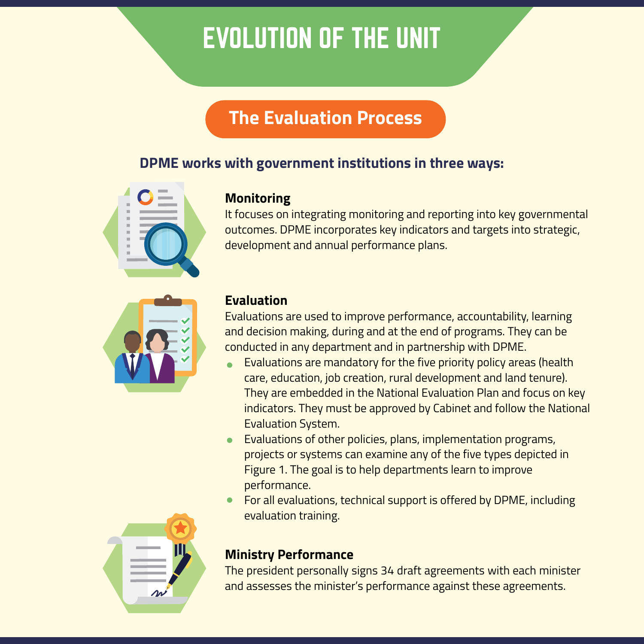### **The Evaluation Process**

### **DPME works with government institutions in three ways:**





#### **Monitoring**

It focuses on integrating monitoring and reporting into key governmental outcomes. DPME incorporates key indicators and targets into strategic, development and annual performance plans.

#### **Evaluation**

Evaluations are used to improve performance, accountability, learning and decision making, during and at the end of programs. They can be conducted in any department and in partnership with DPME.

- Evaluations are mandatory for the five priority policy areas (health care, education, job creation, rural development and land tenure). They are embedded in the National Evaluation Plan and focus on key indicators. They must be approved by Cabinet and follow the National Evaluation System.
- Evaluations of other policies, plans, implementation programs, projects or systems can examine any of the five types depicted in Figure 1. The goal is to help departments learn to improve performance.
- For all evaluations, technical support is offered by DPME, including evaluation training.



#### **Ministry Performance**

The president personally signs 34 draft agreements with each minister and assesses the minister's performance against these agreements.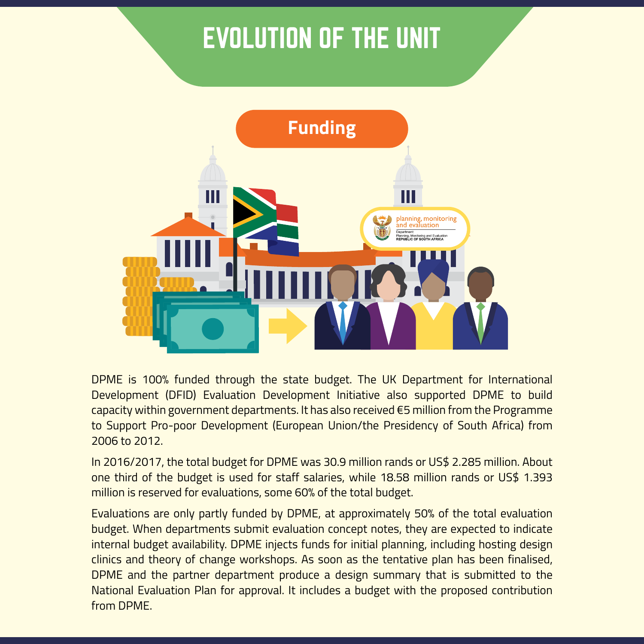

DPME is 100% funded through the state budget. The UK Department for International Development (DFID) Evaluation Development Initiative also supported DPME to build capacity within government departments. It has also received €5 million from the Programme to Support Pro-poor Development (European Union/the Presidency of South Africa) from 2006 to 2012.

In 2016/2017, the total budget for DPME was 30.9 million rands or US\$ 2.285 million. About one third of the budget is used for staff salaries, while 18.58 million rands or US\$ 1.393 million is reserved for evaluations, some 60% of the total budget.

Evaluations are only partly funded by DPME, at approximately 50% of the total evaluation budget. When departments submit evaluation concept notes, they are expected to indicate internal budget availability. DPME injects funds for initial planning, including hosting design clinics and theory of change workshops. As soon as the tentative plan has been finalised, DPME and the partner department produce a design summary that is submitted to the National Evaluation Plan for approval. It includes a budget with the proposed contribution from DPME.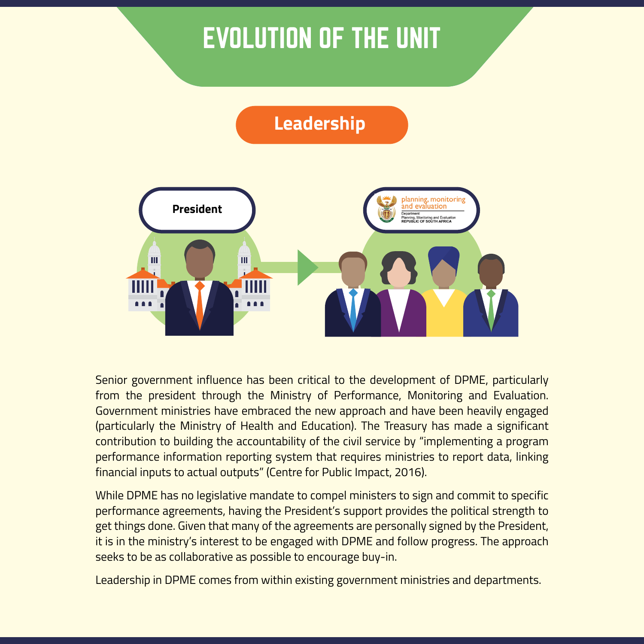### **Leadership**



Senior government influence has been critical to the development of DPME, particularly from the president through the Ministry of Performance, Monitoring and Evaluation. Government ministries have embraced the new approach and have been heavily engaged (particularly the Ministry of Health and Education). The Treasury has made a significant contribution to building the accountability of the civil service by "implementing a program performance information reporting system that requires ministries to report data, linking financial inputs to actual outputs" (Centre for Public Impact, 2016).

While DPME has no legislative mandate to compel ministers to sign and commit to specific performance agreements, having the President's support provides the political strength to get things done. Given that many of the agreements are personally signed by the President, it is in the ministry's interest to be engaged with DPME and follow progress. The approach seeks to be as collaborative as possible to encourage buy-in.

Leadership in DPME comes from within existing government ministries and departments.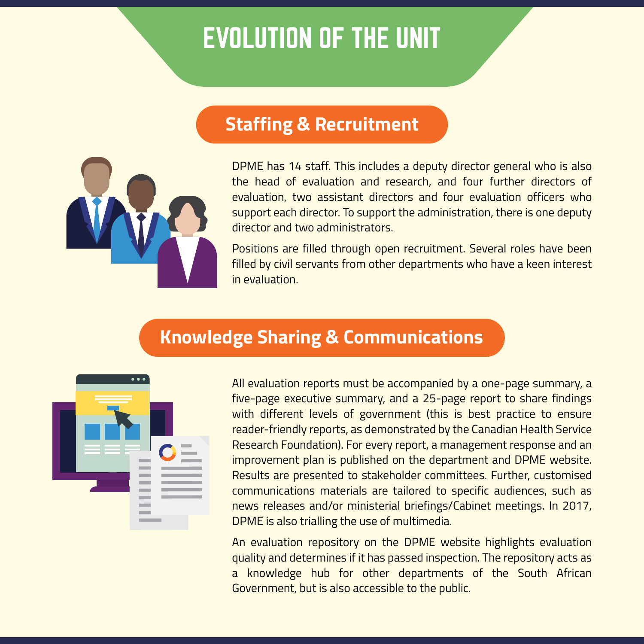### **Staffing & Recruitment**



DPME has 14 staff. This includes a deputy director general who is also the head of evaluation and research, and four further directors of evaluation, two assistant directors and four evaluation officers who support each director. To support the administration, there is one deputy director and two administrators.

Positions are filled through open recruitment. Several roles have been filled by civil servants from other departments who have a keen interest in evaluation.

### **Knowledge Sharing & Communications**



All evaluation reports must be accompanied by a one-page summary, a five-page executive summary, and a 25-page report to share findings with different levels of government (this is best practice to ensure reader-friendly reports, as demonstrated by the Canadian Health Service Research Foundation). For every report, a management response and an improvement plan is published on the department and DPME website. Results are presented to stakeholder committees. Further, customised communications materials are tailored to specific audiences, such as news releases and/or ministerial briefings/Cabinet meetings. In 2017, DPME is also trialling the use of multimedia.

An evaluation repository on the DPME website highlights evaluation quality and determines if it has passed inspection. The repository acts as a knowledge hub for other departments of the South African Government, but is also accessible to the public.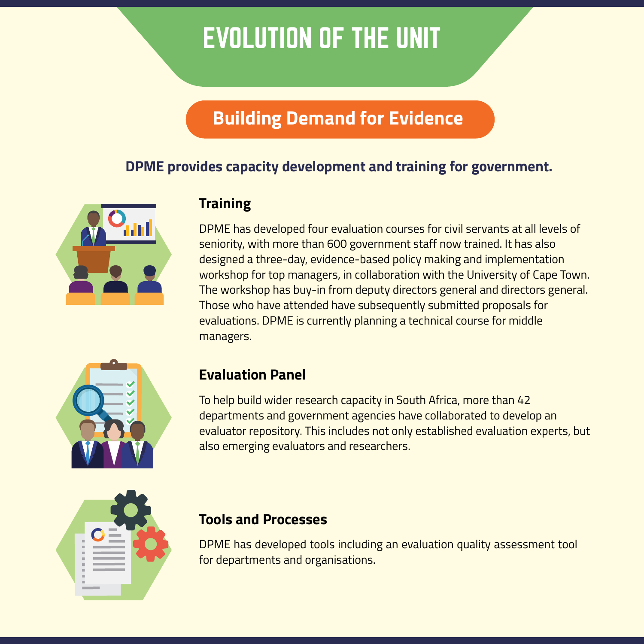### **Building Demand for Evidence**

### **DPME provides capacity development and training for government.**



### **Training**

DPME has developed four evaluation courses for civil servants at all levels of seniority, with more than 600 government staff now trained. It has also designed a three-day, evidence-based policy making and implementation workshop for top managers, in collaboration with the University of Cape Town. The workshop has buy-in from deputy directors general and directors general. Those who have attended have subsequently submitted proposals for evaluations. DPME is currently planning a technical course for middle managers.



#### **Evaluation Panel**

To help build wider research capacity in South Africa, more than 42 departments and government agencies have collaborated to develop an evaluator repository. This includes not only established evaluation experts, but also emerging evaluators and researchers.

| п<br>n<br>п<br>п |  |  |
|------------------|--|--|

#### **Tools and Processes**

DPME has developed tools including an evaluation quality assessment tool for departments and organisations.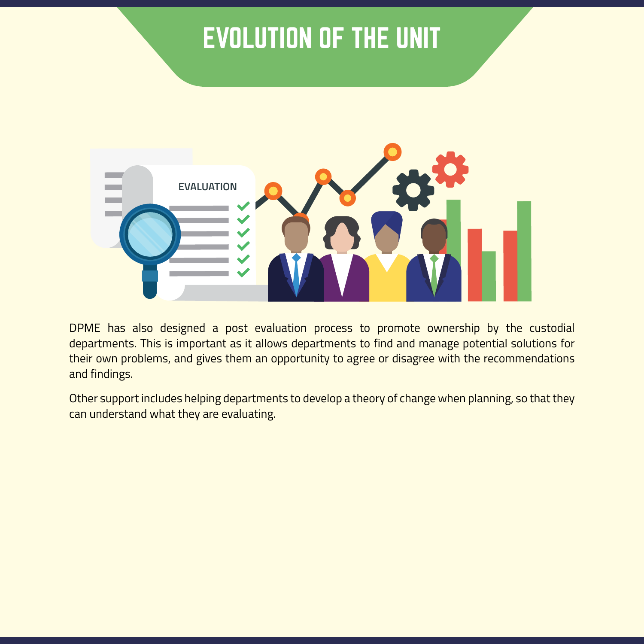

DPME has also designed a post evaluation process to promote ownership by the custodial departments. This is important as it allows departments to find and manage potential solutions for their own problems, and gives them an opportunity to agree or disagree with the recommendations and findings.

Other support includes helping departments to develop a theory of change when planning, so that they can understand what they are evaluating.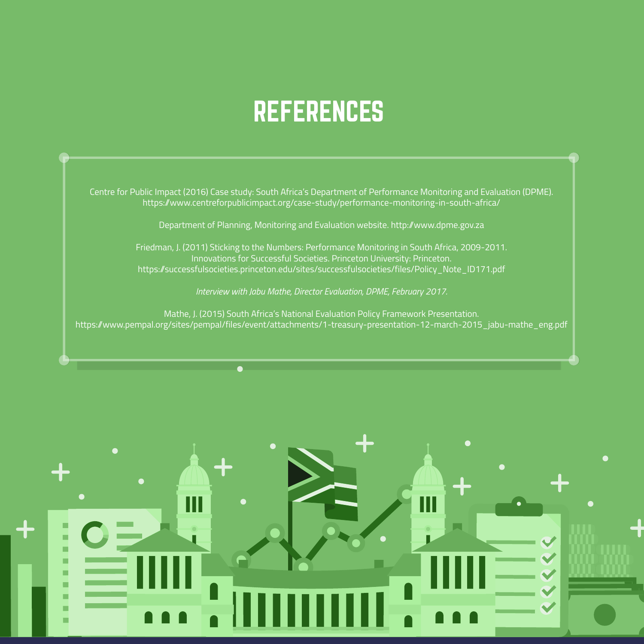### **REFERENCES**

Centre for Public Impact (2016) Case study: South Africa's Department of Performance Monitoring and Evaluation (DPME). https://www.centreforpublicimpact.org/case-study/performance-monitoring-in-south-africa/

Department of Planning, Monitoring and Evaluation website. http://www.dpme.gov.za

Friedman, J. (2011) Sticking to the Numbers: Performance Monitoring in South Africa, 2009-2011. Innovations for Successful Societies. Princeton University: Princeton. https://successfulsocieties.princeton.edu/sites/successfulsocieties/files/Policy\_Note\_ID171.pdf

*Interview with Jabu Mathe, Director Evaluation, DPME, February 2017.*

Mathe, J. (2015) South Africa's National Evaluation Policy Framework Presentation. https://www.pempal.org/sites/pempal/files/event/attachments/1-treasury-presentation-12-march-2015\_jabu-mathe\_eng.pdf